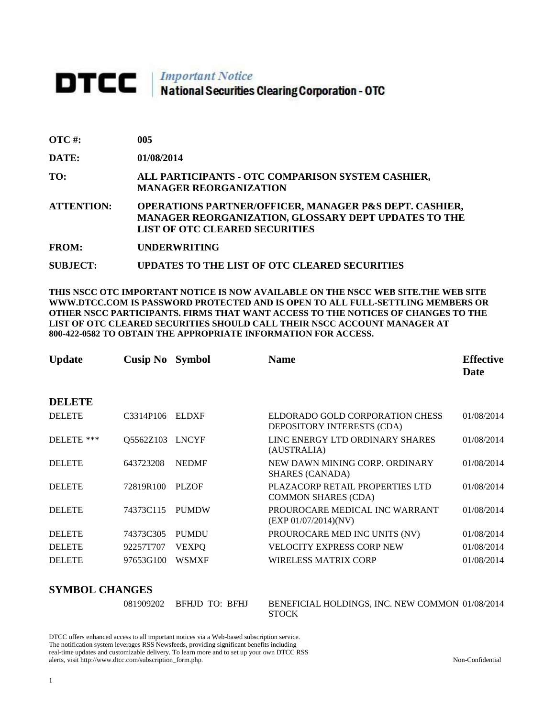## **DTCC** | *Important Notice*<br>National Securities Clearing Corporation - OTC

| <b>OTC</b> #:     | 005                                                                                                                                                                       |
|-------------------|---------------------------------------------------------------------------------------------------------------------------------------------------------------------------|
| DATE:             | 01/08/2014                                                                                                                                                                |
| TO:               | ALL PARTICIPANTS - OTC COMPARISON SYSTEM CASHIER,<br><b>MANAGER REORGANIZATION</b>                                                                                        |
| <b>ATTENTION:</b> | <b>OPERATIONS PARTNER/OFFICER, MANAGER P&amp;S DEPT. CASHIER,</b><br><b>MANAGER REORGANIZATION, GLOSSARY DEPT UPDATES TO THE</b><br><b>LIST OF OTC CLEARED SECURITIES</b> |
| <b>FROM:</b>      | <b>UNDERWRITING</b>                                                                                                                                                       |

**SUBJECT: UPDATES TO THE LIST OF OTC CLEARED SECURITIES**

**THIS NSCC OTC IMPORTANT NOTICE IS NOW AVAILABLE ON THE NSCC WEB SITE.THE WEB SITE WWW.DTCC.COM IS PASSWORD PROTECTED AND IS OPEN TO ALL FULL-SETTLING MEMBERS OR OTHER NSCC PARTICIPANTS. FIRMS THAT WANT ACCESS TO THE NOTICES OF CHANGES TO THE LIST OF OTC CLEARED SECURITIES SHOULD CALL THEIR NSCC ACCOUNT MANAGER AT 800-422-0582 TO OBTAIN THE APPROPRIATE INFORMATION FOR ACCESS.** 

| <b>Update</b> | Cusip No  | <b>Symbol</b> | <b>Name</b>                                                   | <b>Effective</b><br>Date |
|---------------|-----------|---------------|---------------------------------------------------------------|--------------------------|
| <b>DELETE</b> |           |               |                                                               |                          |
| <b>DELETE</b> | C3314P106 | <b>ELDXF</b>  | ELDORADO GOLD CORPORATION CHESS<br>DEPOSITORY INTERESTS (CDA) | 01/08/2014               |
| DELETE ***    | Q5562Z103 | <b>LNCYF</b>  | LINC ENERGY LTD ORDINARY SHARES<br>(AUSTRALIA)                | 01/08/2014               |
| <b>DELETE</b> | 643723208 | <b>NEDMF</b>  | NEW DAWN MINING CORP. ORDINARY<br><b>SHARES (CANADA)</b>      | 01/08/2014               |
| <b>DELETE</b> | 72819R100 | PLZOF         | PLAZACORP RETAIL PROPERTIES LTD<br><b>COMMON SHARES (CDA)</b> | 01/08/2014               |
| <b>DELETE</b> | 74373C115 | <b>PUMDW</b>  | PROUROCARE MEDICAL INC WARRANT<br>(EXP 01/07/2014)(NV)        | 01/08/2014               |
| <b>DELETE</b> | 74373C305 | <b>PUMDU</b>  | PROUROCARE MED INC UNITS (NV)                                 | 01/08/2014               |
| <b>DELETE</b> | 92257T707 | <b>VEXPO</b>  | VELOCITY EXPRESS CORP NEW                                     | 01/08/2014               |
| <b>DELETE</b> | 97653G100 | <b>WSMXF</b>  | WIRELESS MATRIX CORP                                          | 01/08/2014               |

## **SYMBOL CHANGES**

| MDVL VIIANULO |                          |                                                                 |
|---------------|--------------------------|-----------------------------------------------------------------|
|               | 081909202 BFHJD TO: BFHJ | BENEFICIAL HOLDINGS, INC. NEW COMMON 01/08/2014<br><b>STOCK</b> |

DTCC offers enhanced access to all important notices via a Web-based subscription service. The notification system leverages RSS Newsfeeds, providing significant benefits including real-time updates and customizable delivery. To learn more and to set up your own DTCC RSS alerts, visit http://www.dtcc.com/subscription\_form.php. Non-Confidential